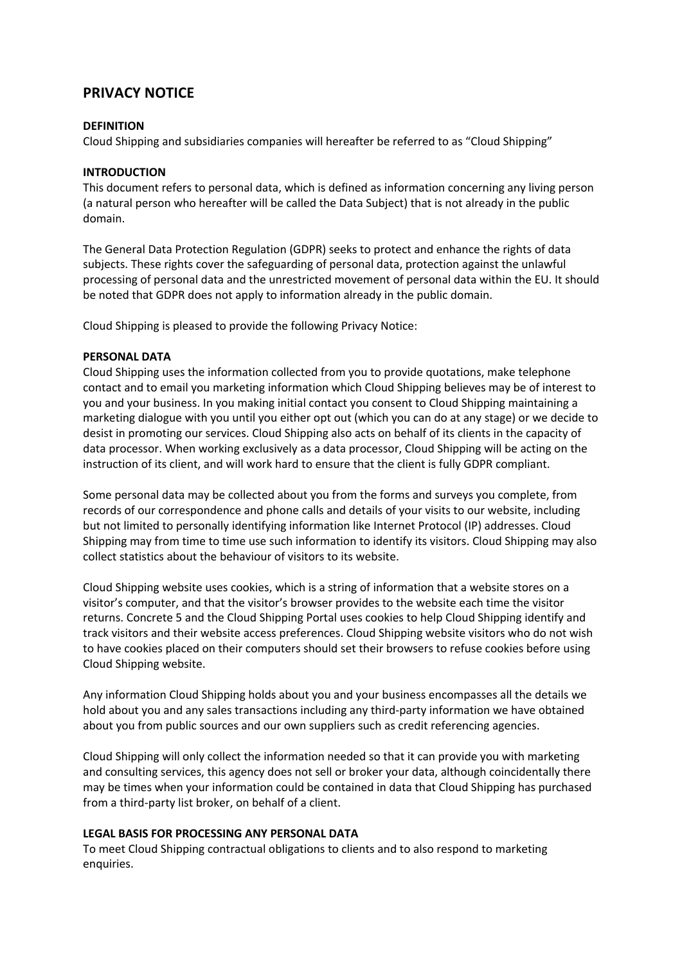# **PRIVACY NOTICE**

#### **DEFINITION**

Cloud Shipping and subsidiaries companies will hereafter be referred to as "Cloud Shipping"

#### **INTRODUCTION**

This document refers to personal data, which is defined as information concerning any living person (a natural person who hereafter will be called the Data Subject) that is not already in the public domain.

The General Data Protection Regulation (GDPR) seeks to protect and enhance the rights of data subjects. These rights cover the safeguarding of personal data, protection against the unlawful processing of personal data and the unrestricted movement of personal data within the EU. It should be noted that GDPR does not apply to information already in the public domain.

Cloud Shipping is pleased to provide the following Privacy Notice:

#### **PERSONAL DATA**

Cloud Shipping uses the information collected from you to provide quotations, make telephone contact and to email you marketing information which Cloud Shipping believes may be of interest to you and your business. In you making initial contact you consent to Cloud Shipping maintaining a marketing dialogue with you until you either opt out (which you can do at any stage) or we decide to desist in promoting our services. Cloud Shipping also acts on behalf of its clients in the capacity of data processor. When working exclusively as a data processor, Cloud Shipping will be acting on the instruction of its client, and will work hard to ensure that the client is fully GDPR compliant.

Some personal data may be collected about you from the forms and surveys you complete, from records of our correspondence and phone calls and details of your visits to our website, including but not limited to personally identifying information like Internet Protocol (IP) addresses. Cloud Shipping may from time to time use such information to identify its visitors. Cloud Shipping may also collect statistics about the behaviour of visitors to its website.

Cloud Shipping website uses cookies, which is a string of information that a website stores on a visitor's computer, and that the visitor's browser provides to the website each time the visitor returns. Concrete 5 and the Cloud Shipping Portal uses cookies to help Cloud Shipping identify and track visitors and their website access preferences. Cloud Shipping website visitors who do not wish to have cookies placed on their computers should set their browsers to refuse cookies before using Cloud Shipping website.

Any information Cloud Shipping holds about you and your business encompasses all the details we hold about you and any sales transactions including any third-party information we have obtained about you from public sources and our own suppliers such as credit referencing agencies.

Cloud Shipping will only collect the information needed so that it can provide you with marketing and consulting services, this agency does not sell or broker your data, although coincidentally there may be times when your information could be contained in data that Cloud Shipping has purchased from a third-party list broker, on behalf of a client.

### **LEGAL BASIS FOR PROCESSING ANY PERSONAL DATA**

To meet Cloud Shipping contractual obligations to clients and to also respond to marketing enquiries.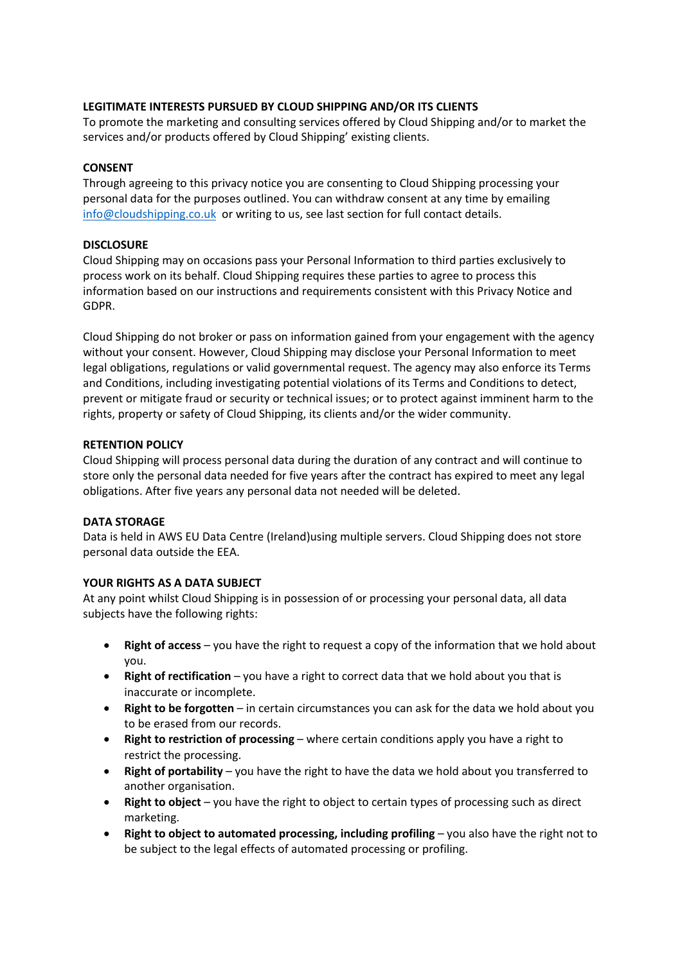# **LEGITIMATE INTERESTS PURSUED BY CLOUD SHIPPING AND/OR ITS CLIENTS**

To promote the marketing and consulting services offered by Cloud Shipping and/or to market the services and/or products offered by Cloud Shipping' existing clients.

# **CONSENT**

Through agreeing to this privacy notice you are consenting to Cloud Shipping processing your personal data for the purposes outlined. You can withdraw consent at any time by emailing info@cloudshipping.co.uk or writing to us, see last section for full contact details.

# **DISCLOSURE**

Cloud Shipping may on occasions pass your Personal Information to third parties exclusively to process work on its behalf. Cloud Shipping requires these parties to agree to process this information based on our instructions and requirements consistent with this Privacy Notice and GDPR.

Cloud Shipping do not broker or pass on information gained from your engagement with the agency without your consent. However, Cloud Shipping may disclose your Personal Information to meet legal obligations, regulations or valid governmental request. The agency may also enforce its Terms and Conditions, including investigating potential violations of its Terms and Conditions to detect, prevent or mitigate fraud or security or technical issues; or to protect against imminent harm to the rights, property or safety of Cloud Shipping, its clients and/or the wider community.

# **RETENTION POLICY**

Cloud Shipping will process personal data during the duration of any contract and will continue to store only the personal data needed for five years after the contract has expired to meet any legal obligations. After five years any personal data not needed will be deleted.

# **DATA STORAGE**

Data is held in AWS EU Data Centre (Ireland)using multiple servers. Cloud Shipping does not store personal data outside the EEA.

# **YOUR RIGHTS AS A DATA SUBJECT**

At any point whilst Cloud Shipping is in possession of or processing your personal data, all data subjects have the following rights:

- **Right of access** you have the right to request a copy of the information that we hold about you.
- **Right of rectification** you have a right to correct data that we hold about you that is inaccurate or incomplete.
- **Right to be forgotten** in certain circumstances you can ask for the data we hold about you to be erased from our records.
- **Right to restriction of processing** where certain conditions apply you have a right to restrict the processing.
- **Right of portability** you have the right to have the data we hold about you transferred to another organisation.
- **Right to object** you have the right to object to certain types of processing such as direct marketing.
- **Right to object to automated processing, including profiling** you also have the right not to be subject to the legal effects of automated processing or profiling.